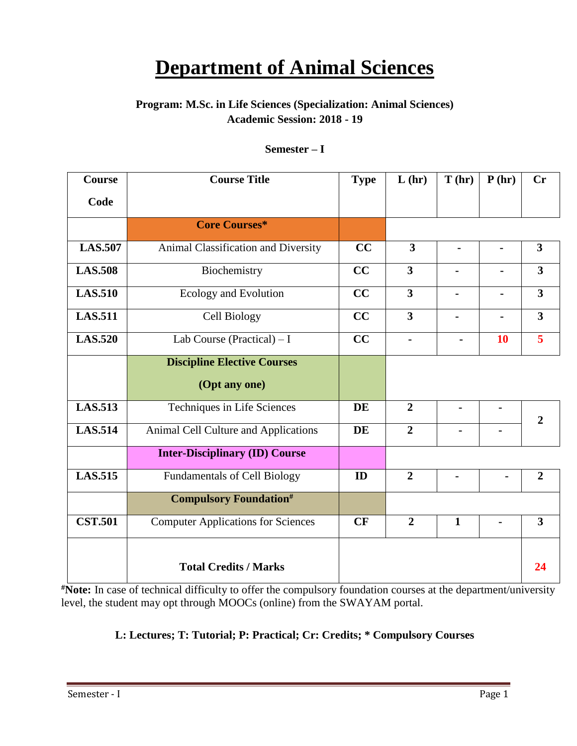# **Department of Animal Sciences**

# **Program: M.Sc. in Life Sciences (Specialization: Animal Sciences) Academic Session: 2018 - 19**

### **Semester – I**

| <b>Course</b>  | <b>Course Title</b>                       | <b>Type</b> | L(hr)                   | T(hr)          | P(hr)          | Cr                      |
|----------------|-------------------------------------------|-------------|-------------------------|----------------|----------------|-------------------------|
| Code           |                                           |             |                         |                |                |                         |
|                | <b>Core Courses*</b>                      |             |                         |                |                |                         |
| <b>LAS.507</b> | Animal Classification and Diversity       | CC          | $\overline{\mathbf{3}}$ | $\blacksquare$ | $\blacksquare$ | $\overline{\mathbf{3}}$ |
| <b>LAS.508</b> | Biochemistry                              | CC          | $\overline{\mathbf{3}}$ | $\blacksquare$ |                | $\mathbf{3}$            |
| <b>LAS.510</b> | Ecology and Evolution                     | CC          | $\overline{\mathbf{3}}$ | $\blacksquare$ |                | $\overline{3}$          |
| <b>LAS.511</b> | Cell Biology                              | CC          | $\overline{\mathbf{3}}$ |                |                | $\overline{3}$          |
| <b>LAS.520</b> | Lab Course (Practical) $- I$              | CC          |                         |                | 10             | 5                       |
|                | <b>Discipline Elective Courses</b>        |             |                         |                |                |                         |
|                | (Opt any one)                             |             |                         |                |                |                         |
| <b>LAS.513</b> | Techniques in Life Sciences               | <b>DE</b>   | $\overline{2}$          |                | $\blacksquare$ | $\overline{2}$          |
| <b>LAS.514</b> | Animal Cell Culture and Applications      | <b>DE</b>   | $\overline{2}$          |                |                |                         |
|                | <b>Inter-Disciplinary (ID) Course</b>     |             |                         |                |                |                         |
| <b>LAS.515</b> | <b>Fundamentals of Cell Biology</b>       | ID          | $\overline{2}$          |                |                | $\overline{2}$          |
|                | <b>Compulsory Foundation#</b>             |             |                         |                |                |                         |
| <b>CST.501</b> | <b>Computer Applications for Sciences</b> | CF          | $\overline{2}$          | $\mathbf{1}$   |                | $\overline{3}$          |
|                | <b>Total Credits / Marks</b>              |             |                         |                |                | 24                      |

**#Note:** In case of technical difficulty to offer the compulsory foundation courses at the department/university level, the student may opt through MOOCs (online) from the SWAYAM portal.

# **L: Lectures; T: Tutorial; P: Practical; Cr: Credits; \* Compulsory Courses**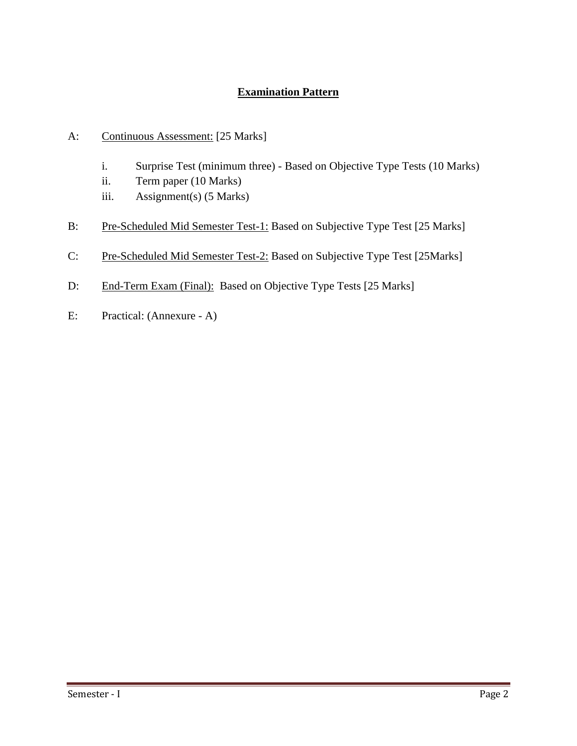# **Examination Pattern**

- A: Continuous Assessment: [25 Marks]
	- i. Surprise Test (minimum three) Based on Objective Type Tests (10 Marks)
	- ii. Term paper (10 Marks)
	- iii. Assignment(s) (5 Marks)
- B: Pre-Scheduled Mid Semester Test-1: Based on Subjective Type Test [25 Marks]
- C: Pre-Scheduled Mid Semester Test-2: Based on Subjective Type Test [25Marks]
- D: End-Term Exam (Final): Based on Objective Type Tests [25 Marks]
- E: Practical: (Annexure A)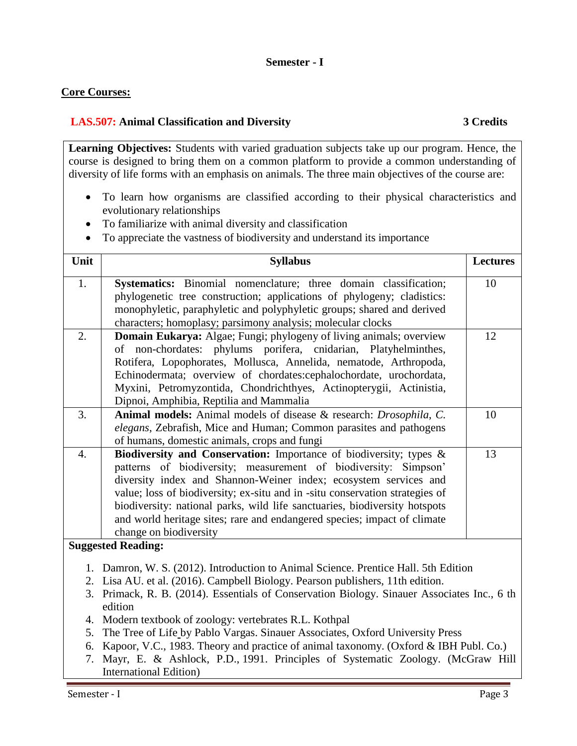#### **Semester - I**

### **Core Courses:**

#### **LAS.507: Animal Classification and Diversity 3 Credits**

**Learning Objectives:** Students with varied graduation subjects take up our program. Hence, the course is designed to bring them on a common platform to provide a common understanding of diversity of life forms with an emphasis on animals. The three main objectives of the course are:

- To learn how organisms are classified according to their physical characteristics and evolutionary relationships
- To familiarize with animal diversity and classification
- To appreciate the vastness of biodiversity and understand its importance

| Unit             | <b>Syllabus</b>                                                                                                                                  | <b>Lectures</b> |
|------------------|--------------------------------------------------------------------------------------------------------------------------------------------------|-----------------|
| 1.               | Systematics: Binomial nomenclature; three domain classification;                                                                                 | 10              |
|                  | phylogenetic tree construction; applications of phylogeny; cladistics:                                                                           |                 |
|                  | monophyletic, paraphyletic and polyphyletic groups; shared and derived                                                                           |                 |
|                  | characters; homoplasy; parsimony analysis; molecular clocks                                                                                      |                 |
| 2.               | Domain Eukarya: Algae; Fungi; phylogeny of living animals; overview                                                                              | 12              |
|                  | of non-chordates: phylums porifera, cnidarian, Platyhelminthes,                                                                                  |                 |
|                  | Rotifera, Lopophorates, Mollusca, Annelida, nematode, Arthropoda,                                                                                |                 |
|                  | Echinodermata; overview of chordates:cephalochordate, urochordata,                                                                               |                 |
|                  | Myxini, Petromyzontida, Chondrichthyes, Actinopterygii, Actinistia,                                                                              |                 |
|                  | Dipnoi, Amphibia, Reptilia and Mammalia                                                                                                          |                 |
| 3.               | Animal models: Animal models of disease & research: Drosophila, C.                                                                               | 10              |
|                  | elegans, Zebrafish, Mice and Human; Common parasites and pathogens                                                                               |                 |
|                  | of humans, domestic animals, crops and fungi                                                                                                     |                 |
| $\overline{4}$ . | Biodiversity and Conservation: Importance of biodiversity; types &                                                                               | 13              |
|                  | patterns of biodiversity; measurement of biodiversity: Simpson'                                                                                  |                 |
|                  | diversity index and Shannon-Weiner index; ecosystem services and<br>value; loss of biodiversity; ex-situ and in -situ conservation strategies of |                 |
|                  | biodiversity: national parks, wild life sanctuaries, biodiversity hotspots                                                                       |                 |
|                  | and world heritage sites; rare and endangered species; impact of climate                                                                         |                 |
|                  | change on biodiversity                                                                                                                           |                 |
|                  | <b>Suggested Reading:</b>                                                                                                                        |                 |
|                  |                                                                                                                                                  |                 |
|                  | 1. Damron, W. S. (2012). Introduction to Animal Science. Prentice Hall. 5th Edition                                                              |                 |
|                  | 2. Lisa AU. et al. (2016). Campbell Biology. Pearson publishers, 11th edition.                                                                   |                 |
|                  | 3. Primack, R. B. (2014). Essentials of Conservation Biology. Sinauer Associates Inc., 6 th<br>edition                                           |                 |
|                  | 4. Modern textbook of zoology: vertebrates R.L. Kothpal                                                                                          |                 |
| 5.               | The Tree of Life by Pablo Vargas, Sinauer Associates, Oxford University Press                                                                    |                 |

- by Pablo Vargas. Sinauer Associates, Oxford University Press
- 6. Kapoor, V.C., 1983. Theory and practice of animal taxonomy. (Oxford & IBH Publ. Co.)
- 7. Mayr, E. & Ashlock, P.D., 1991. Principles of Systematic Zoology. (McGraw Hill International Edition)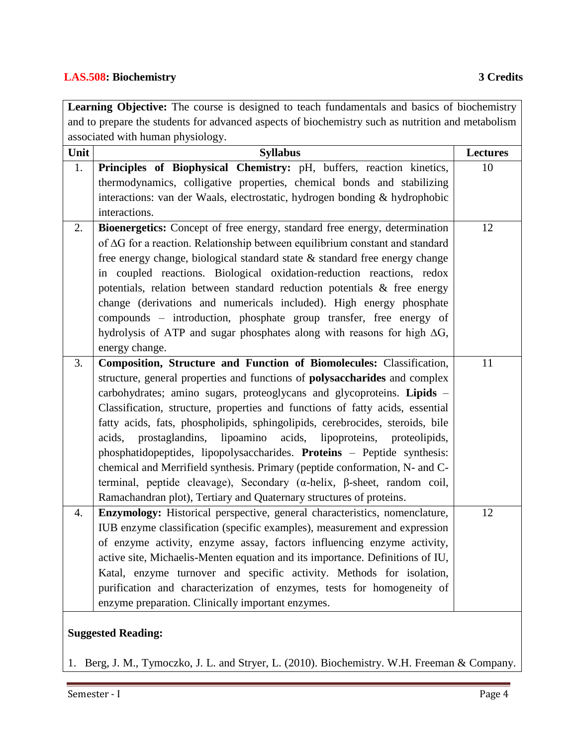#### **LAS.508: Biochemistry 3 Credits**

|                                                                                                   | Learning Objective: The course is designed to teach fundamentals and basics of biochemistry |                 |  |
|---------------------------------------------------------------------------------------------------|---------------------------------------------------------------------------------------------|-----------------|--|
| and to prepare the students for advanced aspects of biochemistry such as nutrition and metabolism |                                                                                             |                 |  |
| associated with human physiology.                                                                 |                                                                                             |                 |  |
| Unit                                                                                              | <b>Syllabus</b>                                                                             | <b>Lectures</b> |  |
| 1.                                                                                                | Principles of Biophysical Chemistry: pH, buffers, reaction kinetics,                        | 10              |  |
|                                                                                                   | thermodynamics, colligative properties, chemical bonds and stabilizing                      |                 |  |
|                                                                                                   | interactions: van der Waals, electrostatic, hydrogen bonding & hydrophobic                  |                 |  |
|                                                                                                   | interactions.                                                                               |                 |  |
| 2.                                                                                                | Bioenergetics: Concept of free energy, standard free energy, determination                  | 12              |  |
|                                                                                                   | of $\Delta G$ for a reaction. Relationship between equilibrium constant and standard        |                 |  |
|                                                                                                   | free energy change, biological standard state & standard free energy change                 |                 |  |
|                                                                                                   | in coupled reactions. Biological oxidation-reduction reactions, redox                       |                 |  |
|                                                                                                   | potentials, relation between standard reduction potentials & free energy                    |                 |  |
|                                                                                                   | change (derivations and numericals included). High energy phosphate                         |                 |  |
|                                                                                                   | compounds - introduction, phosphate group transfer, free energy of                          |                 |  |
|                                                                                                   | hydrolysis of ATP and sugar phosphates along with reasons for high $\Delta G$ ,             |                 |  |
|                                                                                                   | energy change.                                                                              |                 |  |
| 3.                                                                                                | Composition, Structure and Function of Biomolecules: Classification,                        | 11              |  |
|                                                                                                   | structure, general properties and functions of <b>polysaccharides</b> and complex           |                 |  |
|                                                                                                   | carbohydrates; amino sugars, proteoglycans and glycoproteins. Lipids -                      |                 |  |
|                                                                                                   | Classification, structure, properties and functions of fatty acids, essential               |                 |  |
|                                                                                                   | fatty acids, fats, phospholipids, sphingolipids, cerebrocides, steroids, bile               |                 |  |
|                                                                                                   | prostaglandins, lipoamino acids, lipoproteins, proteolipids,<br>acids,                      |                 |  |
|                                                                                                   | phosphatidopeptides, lipopolysaccharides. Proteins - Peptide synthesis:                     |                 |  |
|                                                                                                   | chemical and Merrifield synthesis. Primary (peptide conformation, N- and C-                 |                 |  |
|                                                                                                   | terminal, peptide cleavage), Secondary ( $\alpha$ -helix, $\beta$ -sheet, random coil,      |                 |  |
|                                                                                                   | Ramachandran plot), Tertiary and Quaternary structures of proteins.                         |                 |  |

#### **Suggested Reading:**

1. Berg, J. M., Tymoczko, J. L. and Stryer, L. (2010). Biochemistry. W.H. Freeman & Company.

4. **Enzymology:** Historical perspective, general characteristics, nomenclature,

enzyme preparation. Clinically important enzymes.

IUB enzyme classification (specific examples), measurement and expression of enzyme activity, enzyme assay, factors influencing enzyme activity, active site, Michaelis-Menten equation and its importance. Definitions of IU, Katal, enzyme turnover and specific activity. Methods for isolation, purification and characterization of enzymes, tests for homogeneity of 12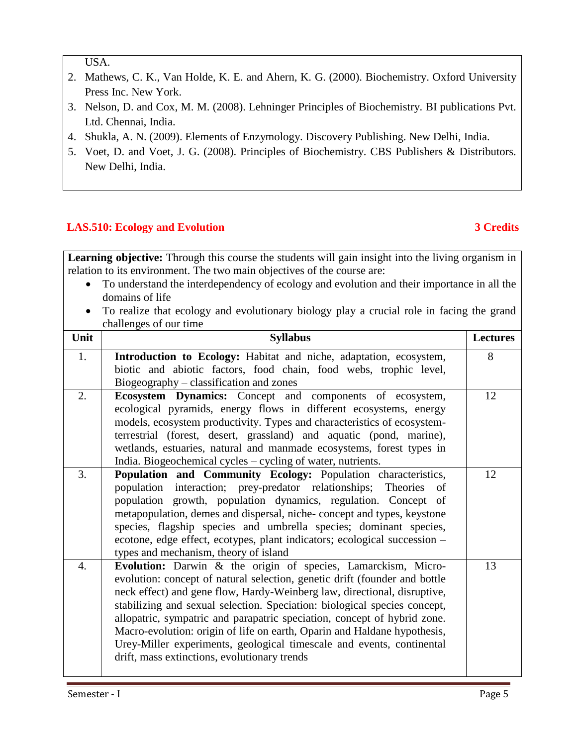USA.

- 2. Mathews, C. K., Van Holde, K. E. and Ahern, K. G. (2000). Biochemistry. Oxford University Press Inc. New York.
- 3. Nelson, D. and Cox, M. M. (2008). Lehninger Principles of Biochemistry. BI publications Pvt. Ltd. Chennai, India.
- 4. Shukla, A. N. (2009). Elements of Enzymology. Discovery Publishing. New Delhi, India.
- 5. Voet, D. and Voet, J. G. (2008). Principles of Biochemistry. CBS Publishers & Distributors. New Delhi, India.

# **LAS.510: Ecology and Evolution 3 Credits**

**Learning objective:** Through this course the students will gain insight into the living organism in relation to its environment. The two main objectives of the course are:

- To understand the interdependency of ecology and evolution and their importance in all the domains of life
- To realize that ecology and evolutionary biology play a crucial role in facing the grand challenges of our time

| Unit             | <b>Syllabus</b>                                                                                                                                                                                                                                                                                                                                                                                                                                                                                                                                                                       | <b>Lectures</b> |
|------------------|---------------------------------------------------------------------------------------------------------------------------------------------------------------------------------------------------------------------------------------------------------------------------------------------------------------------------------------------------------------------------------------------------------------------------------------------------------------------------------------------------------------------------------------------------------------------------------------|-----------------|
| 1.               | Introduction to Ecology: Habitat and niche, adaptation, ecosystem,<br>biotic and abiotic factors, food chain, food webs, trophic level,<br>Biogeography – classification and zones                                                                                                                                                                                                                                                                                                                                                                                                    | 8               |
| 2.               | Ecosystem Dynamics: Concept and components of ecosystem,<br>ecological pyramids, energy flows in different ecosystems, energy<br>models, ecosystem productivity. Types and characteristics of ecosystem-<br>terrestrial (forest, desert, grassland) and aquatic (pond, marine),<br>wetlands, estuaries, natural and manmade ecosystems, forest types in<br>India. Biogeochemical cycles - cycling of water, nutrients.                                                                                                                                                                | 12              |
| 3.               | Population and Community Ecology: Population characteristics,<br>population interaction; prey-predator relationships;<br>Theories<br>of<br>population growth, population dynamics, regulation. Concept of<br>metapopulation, demes and dispersal, niche-concept and types, keystone<br>species, flagship species and umbrella species; dominant species,<br>ecotone, edge effect, ecotypes, plant indicators; ecological succession -<br>types and mechanism, theory of island                                                                                                        | 12              |
| $\overline{4}$ . | Evolution: Darwin & the origin of species, Lamarckism, Micro-<br>evolution: concept of natural selection, genetic drift (founder and bottle<br>neck effect) and gene flow, Hardy-Weinberg law, directional, disruptive,<br>stabilizing and sexual selection. Speciation: biological species concept,<br>allopatric, sympatric and parapatric speciation, concept of hybrid zone.<br>Macro-evolution: origin of life on earth, Oparin and Haldane hypothesis,<br>Urey-Miller experiments, geological timescale and events, continental<br>drift, mass extinctions, evolutionary trends | 13              |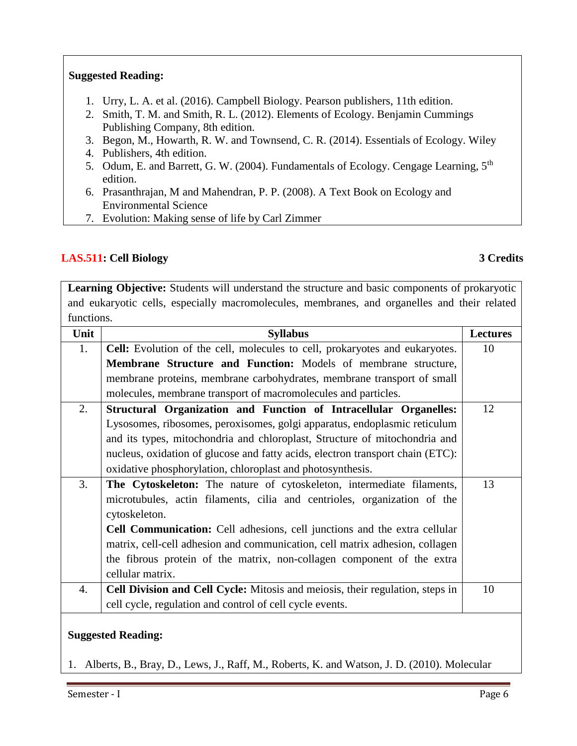### **Suggested Reading:**

- 1. Urry, L. A. et al. (2016). Campbell Biology. Pearson publishers, 11th edition.
- 2. Smith, T. M. and Smith, R. L. (2012). Elements of Ecology. Benjamin Cummings Publishing Company, 8th edition.
- 3. Begon, M., Howarth, R. W. and Townsend, C. R. (2014). Essentials of Ecology. Wiley
- 4. Publishers, 4th edition.
- 5. Odum, E. and Barrett, G. W. (2004). Fundamentals of Ecology. Cengage Learning, 5<sup>th</sup> edition.
- 6. Prasanthrajan, M and Mahendran, P. P. (2008). A Text Book on Ecology and Environmental Science
- 7. Evolution: Making sense of life by Carl Zimmer

#### **LAS.511: Cell Biology 3 Credits**

**Learning Objective:** Students will understand the structure and basic components of prokaryotic and eukaryotic cells, especially macromolecules, membranes, and organelles and their related functions.

| Unit | <b>Syllabus</b>                                                                | <b>Lectures</b> |
|------|--------------------------------------------------------------------------------|-----------------|
| 1.   | Cell: Evolution of the cell, molecules to cell, prokaryotes and eukaryotes.    | 10              |
|      | Membrane Structure and Function: Models of membrane structure,                 |                 |
|      | membrane proteins, membrane carbohydrates, membrane transport of small         |                 |
|      | molecules, membrane transport of macromolecules and particles.                 |                 |
| 2.   | Structural Organization and Function of Intracellular Organelles:              | 12              |
|      | Lysosomes, ribosomes, peroxisomes, golgi apparatus, endoplasmic reticulum      |                 |
|      | and its types, mitochondria and chloroplast, Structure of mitochondria and     |                 |
|      | nucleus, oxidation of glucose and fatty acids, electron transport chain (ETC): |                 |
|      | oxidative phosphorylation, chloroplast and photosynthesis.                     |                 |
| 3.   | <b>The Cytoskeleton:</b> The nature of cytoskeleton, intermediate filaments,   | 13              |
|      | microtubules, actin filaments, cilia and centrioles, organization of the       |                 |
|      | cytoskeleton.                                                                  |                 |
|      | Cell Communication: Cell adhesions, cell junctions and the extra cellular      |                 |
|      | matrix, cell-cell adhesion and communication, cell matrix adhesion, collagen   |                 |
|      | the fibrous protein of the matrix, non-collagen component of the extra         |                 |
|      | cellular matrix.                                                               |                 |
| 4.   | Cell Division and Cell Cycle: Mitosis and meiosis, their regulation, steps in  | 10              |
|      | cell cycle, regulation and control of cell cycle events.                       |                 |
|      |                                                                                |                 |

# **Suggested Reading:**

1. Alberts, B., Bray, D., Lews, J., Raff, M., Roberts, K. and Watson, J. D. (2010). Molecular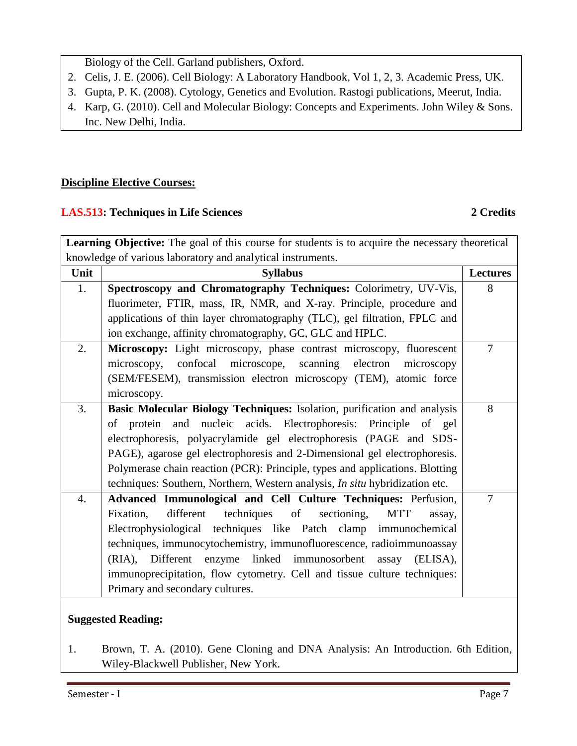Biology of the Cell. Garland publishers, Oxford.

- 2. Celis, J. E. (2006). Cell Biology: A Laboratory Handbook, Vol 1, 2, 3. Academic Press, UK.
- 3. Gupta, P. K. (2008). Cytology, Genetics and Evolution. Rastogi publications, Meerut, India.
- 4. Karp, G. (2010). Cell and Molecular Biology: Concepts and Experiments. John Wiley & Sons. Inc. New Delhi, India.

# **Discipline Elective Courses:**

# **LAS.513: Techniques in Life Sciences 2 Credits**

Learning Objective: The goal of this course for students is to acquire the necessary theoretical knowledge of various laboratory and analytical instruments.

| <b>Syllabus</b>                                                                     | <b>Lectures</b> |  |  |  |
|-------------------------------------------------------------------------------------|-----------------|--|--|--|
| Spectroscopy and Chromatography Techniques: Colorimetry, UV-Vis,                    | 8               |  |  |  |
| fluorimeter, FTIR, mass, IR, NMR, and X-ray. Principle, procedure and               |                 |  |  |  |
| applications of thin layer chromatography (TLC), gel filtration, FPLC and           |                 |  |  |  |
| ion exchange, affinity chromatography, GC, GLC and HPLC.                            |                 |  |  |  |
| Microscopy: Light microscopy, phase contrast microscopy, fluorescent                | $\tau$          |  |  |  |
| confocal microscope, scanning electron<br>microscopy,<br>microscopy                 |                 |  |  |  |
| (SEM/FESEM), transmission electron microscopy (TEM), atomic force                   |                 |  |  |  |
| microscopy.                                                                         |                 |  |  |  |
| Basic Molecular Biology Techniques: Isolation, purification and analysis            | 8               |  |  |  |
| of protein and nucleic acids. Electrophoresis: Principle of gel                     |                 |  |  |  |
| electrophoresis, polyacrylamide gel electrophoresis (PAGE and SDS-                  |                 |  |  |  |
| PAGE), agarose gel electrophoresis and 2-Dimensional gel electrophoresis.           |                 |  |  |  |
| Polymerase chain reaction (PCR): Principle, types and applications. Blotting        |                 |  |  |  |
| techniques: Southern, Northern, Western analysis, <i>In situ</i> hybridization etc. |                 |  |  |  |
| Advanced Immunological and Cell Culture Techniques: Perfusion,                      | 7               |  |  |  |
| different<br>techniques<br>of sectioning,<br>Fixation,<br><b>MTT</b><br>assay,      |                 |  |  |  |
| Electrophysiological techniques like Patch clamp immunochemical                     |                 |  |  |  |
| techniques, immunocytochemistry, immunofluorescence, radioimmunoassay               |                 |  |  |  |
| (RIA), Different enzyme linked immunosorbent<br>(ELISA),<br>assay                   |                 |  |  |  |
| immunoprecipitation, flow cytometry. Cell and tissue culture techniques:            |                 |  |  |  |
| Primary and secondary cultures.                                                     |                 |  |  |  |
|                                                                                     |                 |  |  |  |

# **Suggested Reading:**

1. Brown, T. A. (2010). Gene Cloning and DNA Analysis: An Introduction. 6th Edition, Wiley-Blackwell Publisher, New York.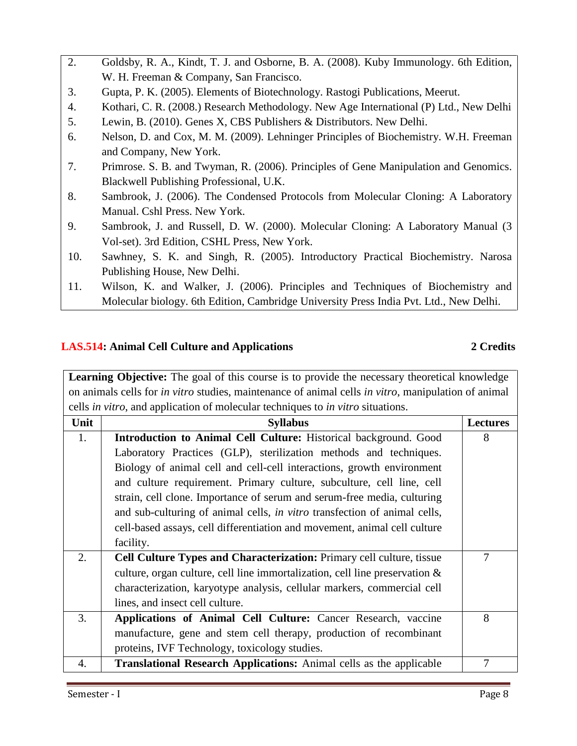- 2. Goldsby, R. A., Kindt, T. J. and Osborne, B. A. (2008). Kuby Immunology. 6th Edition, W. H. Freeman & Company, San Francisco.
- 3. Gupta, P. K. (2005). Elements of Biotechnology. Rastogi Publications, Meerut.
- 4. Kothari, C. R. (2008.) Research Methodology. New Age International (P) Ltd., New Delhi
- 5. Lewin, B. (2010). Genes X, CBS Publishers & Distributors. New Delhi.
- 6. Nelson, D. and Cox, M. M. (2009). Lehninger Principles of Biochemistry. W.H. Freeman and Company, New York.
- 7. Primrose. S. B. and Twyman, R. (2006). Principles of Gene Manipulation and Genomics. Blackwell Publishing Professional, U.K.
- 8. Sambrook, J. (2006). The Condensed Protocols from Molecular Cloning: A Laboratory Manual. Cshl Press. New York.
- 9. Sambrook, J. and Russell, D. W. (2000). Molecular Cloning: A Laboratory Manual (3 Vol-set). 3rd Edition, CSHL Press, New York.
- 10. Sawhney, S. K. and Singh, R. (2005). Introductory Practical Biochemistry. Narosa Publishing House, New Delhi.
- 11. Wilson, K. and Walker, J. (2006). Principles and Techniques of Biochemistry and Molecular biology. 6th Edition, Cambridge University Press India Pvt. Ltd., New Delhi.

### **LAS.514: Animal Cell Culture and Applications 2 Credits**

Learning Objective: The goal of this course is to provide the necessary theoretical knowledge on animals cells for *in vitro* studies, maintenance of animal cells *in vitro*, manipulation of animal cells *in vitro*, and application of molecular techniques to *in vitro* situations.

| Unit | <b>Syllabus</b>                                                                | <b>Lectures</b> |
|------|--------------------------------------------------------------------------------|-----------------|
| 1.   | Introduction to Animal Cell Culture: Historical background. Good               | 8               |
|      | Laboratory Practices (GLP), sterilization methods and techniques.              |                 |
|      | Biology of animal cell and cell-cell interactions, growth environment          |                 |
|      | and culture requirement. Primary culture, subculture, cell line, cell          |                 |
|      | strain, cell clone. Importance of serum and serum-free media, culturing        |                 |
|      | and sub-culturing of animal cells, in vitro transfection of animal cells,      |                 |
|      | cell-based assays, cell differentiation and movement, animal cell culture      |                 |
|      | facility.                                                                      |                 |
| 2.   | Cell Culture Types and Characterization: Primary cell culture, tissue          | 7               |
|      | culture, organ culture, cell line immortalization, cell line preservation $\&$ |                 |
|      | characterization, karyotype analysis, cellular markers, commercial cell        |                 |
|      | lines, and insect cell culture.                                                |                 |
| 3.   | Applications of Animal Cell Culture: Cancer Research, vaccine                  | 8               |
|      | manufacture, gene and stem cell therapy, production of recombinant             |                 |
|      | proteins, IVF Technology, toxicology studies.                                  |                 |
| 4.   | Translational Research Applications: Animal cells as the applicable            | 7               |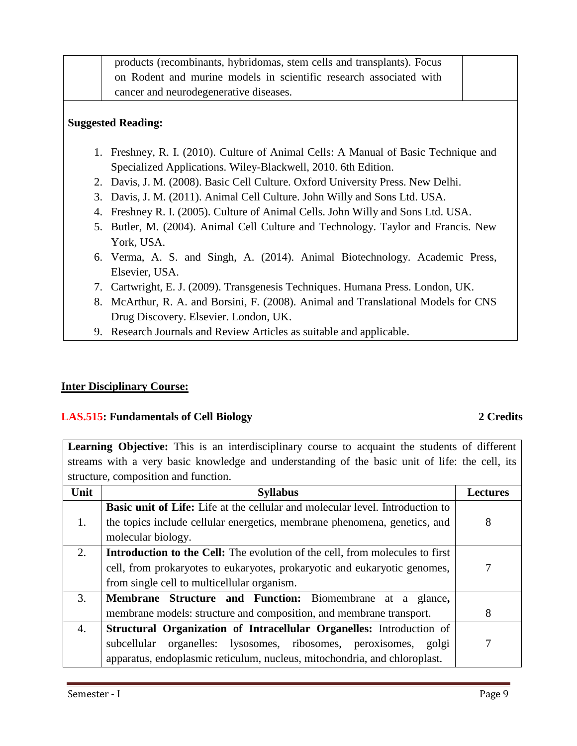| products (recombinants, hybridomas, stem cells and transplants). Focus |  |
|------------------------------------------------------------------------|--|
| on Rodent and murine models in scientific research associated with     |  |
| cancer and neurodegenerative diseases.                                 |  |
| <b>Suggested Reading:</b>                                              |  |

- 1. Freshney, R. I. (2010). Culture of Animal Cells: A Manual of Basic Technique and Specialized Applications. Wiley-Blackwell, 2010. 6th Edition.
- 2. Davis, J. M. (2008). Basic Cell Culture. Oxford University Press. New Delhi.
- 3. Davis, J. M. (2011). Animal Cell Culture. John Willy and Sons Ltd. USA.
- 4. Freshney R. I. (2005). Culture of Animal Cells. John Willy and Sons Ltd. USA.
- 5. Butler, M. (2004). Animal Cell Culture and Technology. Taylor and Francis. New York, USA.
- 6. Verma, A. S. and Singh, A. (2014). Animal Biotechnology. Academic Press, Elsevier, USA.
- 7. Cartwright, E. J. (2009). Transgenesis Techniques. Humana Press. London, UK.
- 8. McArthur, R. A. and Borsini, F. (2008). Animal and Translational Models for CNS Drug Discovery. Elsevier. London, UK.
- 9. Research Journals and Review Articles as suitable and applicable.

# **Inter Disciplinary Course:**

# **LAS.515: Fundamentals of Cell Biology 2 Credits**

**Learning Objective:** This is an interdisciplinary course to acquaint the students of different streams with a very basic knowledge and understanding of the basic unit of life: the cell, its structure, composition and function.

| Unit | <b>Syllabus</b>                                                                      | <b>Lectures</b> |  |
|------|--------------------------------------------------------------------------------------|-----------------|--|
|      | <b>Basic unit of Life:</b> Life at the cellular and molecular level. Introduction to |                 |  |
| 1.   | the topics include cellular energetics, membrane phenomena, genetics, and            | 8               |  |
|      | molecular biology.                                                                   |                 |  |
| 2.   | <b>Introduction to the Cell:</b> The evolution of the cell, from molecules to first  |                 |  |
|      | cell, from prokaryotes to eukaryotes, prokaryotic and eukaryotic genomes,            |                 |  |
|      | from single cell to multicellular organism.                                          |                 |  |
| 3.   | <b>Membrane Structure and Function:</b> Biomembrane at a glance,                     |                 |  |
|      | membrane models: structure and composition, and membrane transport.                  | 8               |  |
| 4.   | <b>Structural Organization of Intracellular Organelles:</b> Introduction of          |                 |  |
|      | organelles: lysosomes, ribosomes, peroxisomes, golgi<br>subcellular                  |                 |  |
|      | apparatus, endoplasmic reticulum, nucleus, mitochondria, and chloroplast.            |                 |  |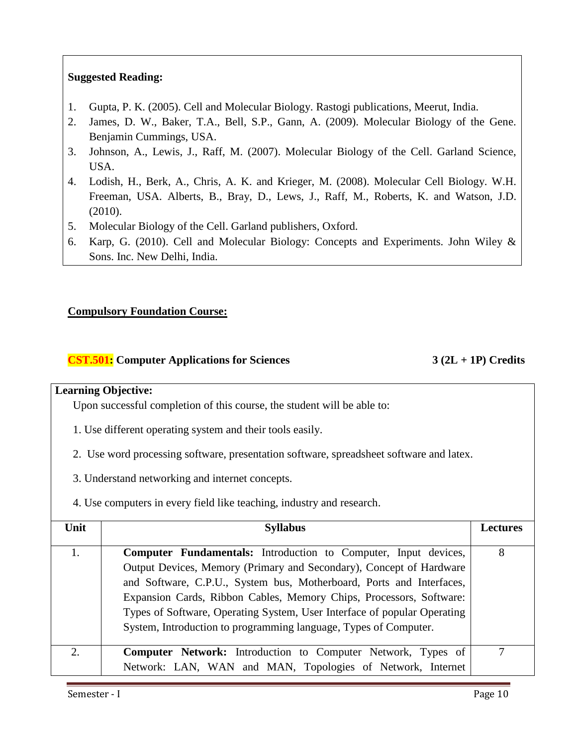### **Suggested Reading:**

- 1. Gupta, P. K. (2005). Cell and Molecular Biology. Rastogi publications, Meerut, India.
- 2. [James,](http://www.amazon.com/James-D.-Watson/e/B001HCVN6K/ref=sr_ntt_srch_lnk_1?qid=1311422012&sr=1-1) D. W., [Baker, T.A.](http://www.amazon.com/Tania-A.-Baker/e/B001H6OS90/ref=sr_ntt_srch_lnk_1?qid=1311422012&sr=1-1), Bell, S.P., Gann, A. (2009). Molecular Biology of the Gene. Benjamin Cummings, USA.
- 3. Johnson, A., Lewis, J., Raff, M. (2007). Molecular Biology of the Cell. Garland Science, USA.
- 4. [Lodish,](http://www.amazon.com/Harvey-Lodish/e/B000APJECU/ref=sr_ntt_srch_lnk_1?qid=1311422122&sr=1-1) [H.](http://www.amazon.com/Harvey-Lodish/e/B000APJECU/ref=sr_ntt_srch_lnk_1?qid=1311422122&sr=1-1), Berk, A., Chris, A. K. and Krieger, M. (2008). Molecular Cell Biology. W.H. Freeman, USA. Alberts, B., Bray, D., Lews, J., Raff, M., Roberts, K. and Watson, J.D. (2010).
- 5. Molecular Biology of the Cell. Garland publishers, Oxford.
- 6. Karp, G. (2010). Cell and Molecular Biology: Concepts and Experiments. John Wiley & Sons. Inc. New Delhi, India.

### **Compulsory Foundation Course:**

### **CST.501: Computer Applications for Sciences 3 (2L + 1P) Credits**

#### **Learning Objective:**

Upon successful completion of this course, the student will be able to:

- 1. Use different operating system and their tools easily.
- 2. Use word processing software, presentation software, spreadsheet software and latex.
- 3. Understand networking and internet concepts.
- 4. Use computers in every field like teaching, industry and research.

| Unit             | <b>Syllabus</b>                                                          | Lectures |  |
|------------------|--------------------------------------------------------------------------|----------|--|
|                  |                                                                          |          |  |
|                  | <b>Computer Fundamentals:</b> Introduction to Computer, Input devices,   | 8        |  |
|                  | Output Devices, Memory (Primary and Secondary), Concept of Hardware      |          |  |
|                  | and Software, C.P.U., System bus, Motherboard, Ports and Interfaces,     |          |  |
|                  | Expansion Cards, Ribbon Cables, Memory Chips, Processors, Software:      |          |  |
|                  | Types of Software, Operating System, User Interface of popular Operating |          |  |
|                  | System, Introduction to programming language, Types of Computer.         |          |  |
| $\overline{2}$ . | <b>Computer Network:</b> Introduction to Computer Network, Types of      | 7        |  |
|                  | Network: LAN, WAN and MAN, Topologies of Network, Internet               |          |  |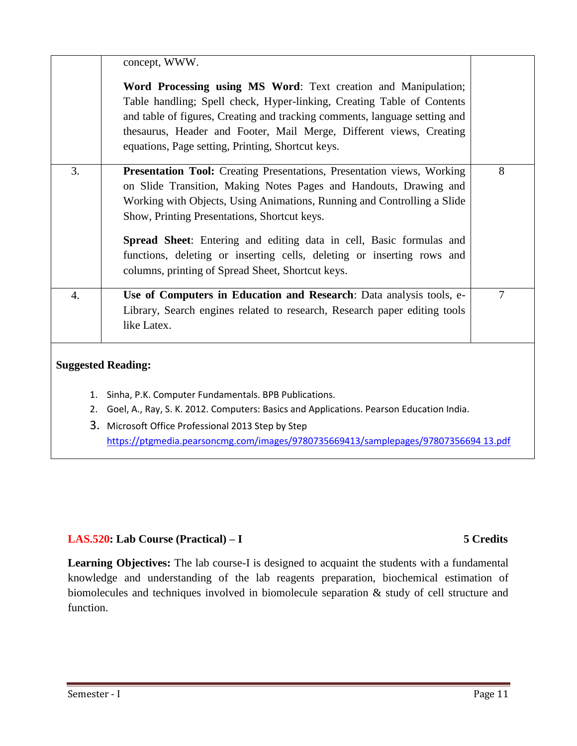|          | concept, WWW.                                                                                                                                                                                                                                                                                                                                                                                                                                                                |                |  |
|----------|------------------------------------------------------------------------------------------------------------------------------------------------------------------------------------------------------------------------------------------------------------------------------------------------------------------------------------------------------------------------------------------------------------------------------------------------------------------------------|----------------|--|
|          | Word Processing using MS Word: Text creation and Manipulation;<br>Table handling; Spell check, Hyper-linking, Creating Table of Contents<br>and table of figures, Creating and tracking comments, language setting and<br>thesaurus, Header and Footer, Mail Merge, Different views, Creating<br>equations, Page setting, Printing, Shortcut keys.                                                                                                                           |                |  |
| 3.       | Presentation Tool: Creating Presentations, Presentation views, Working<br>on Slide Transition, Making Notes Pages and Handouts, Drawing and<br>Working with Objects, Using Animations, Running and Controlling a Slide<br>Show, Printing Presentations, Shortcut keys.<br>Spread Sheet: Entering and editing data in cell, Basic formulas and<br>functions, deleting or inserting cells, deleting or inserting rows and<br>columns, printing of Spread Sheet, Shortcut keys. | 8              |  |
| 4.       | Use of Computers in Education and Research: Data analysis tools, e-<br>Library, Search engines related to research, Research paper editing tools<br>like Latex.                                                                                                                                                                                                                                                                                                              | $\overline{7}$ |  |
|          | <b>Suggested Reading:</b>                                                                                                                                                                                                                                                                                                                                                                                                                                                    |                |  |
| 1.<br>2. | Sinha, P.K. Computer Fundamentals. BPB Publications.<br>Goel, A., Ray, S. K. 2012. Computers: Basics and Applications. Pearson Education India.<br>3. Microsoft Office Professional 2013 Step by Step                                                                                                                                                                                                                                                                        |                |  |
|          | https://ptgmedia.pearsoncmg.com/images/9780735669413/samplepages/97807356694 13.pdf                                                                                                                                                                                                                                                                                                                                                                                          |                |  |

### **LAS.520: Lab Course (Practical) – I 5 Credits**

**Learning Objectives:** The lab course-I is designed to acquaint the students with a fundamental knowledge and understanding of the lab reagents preparation, biochemical estimation of biomolecules and techniques involved in biomolecule separation & study of cell structure and function.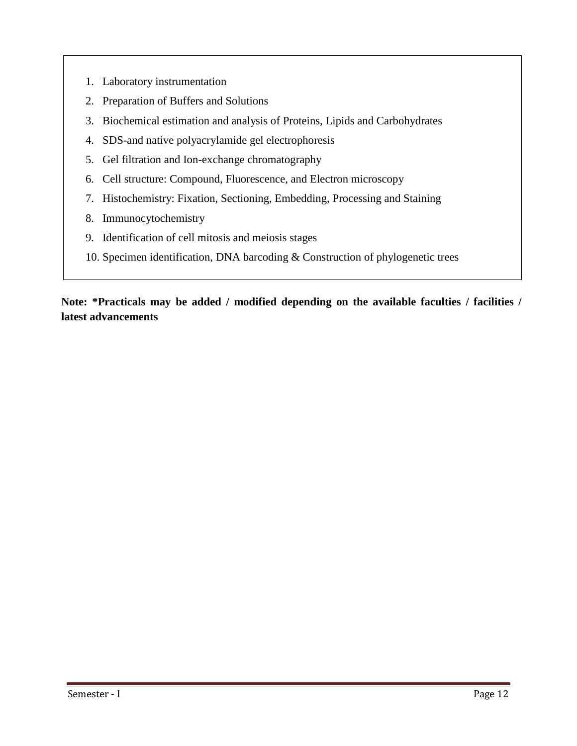- 1. Laboratory instrumentation
- 2. Preparation of Buffers and Solutions
- 3. Biochemical estimation and analysis of Proteins, Lipids and Carbohydrates
- 4. SDS-and native polyacrylamide gel electrophoresis
- 5. Gel filtration and Ion-exchange chromatography
- 6. Cell structure: Compound, Fluorescence, and Electron microscopy
- 7. Histochemistry: Fixation, Sectioning, Embedding, Processing and Staining
- 8. Immunocytochemistry
- 9. Identification of cell mitosis and meiosis stages
- 10. Specimen identification, DNA barcoding & Construction of phylogenetic trees

# **Note: \*Practicals may be added / modified depending on the available faculties / facilities / latest advancements**